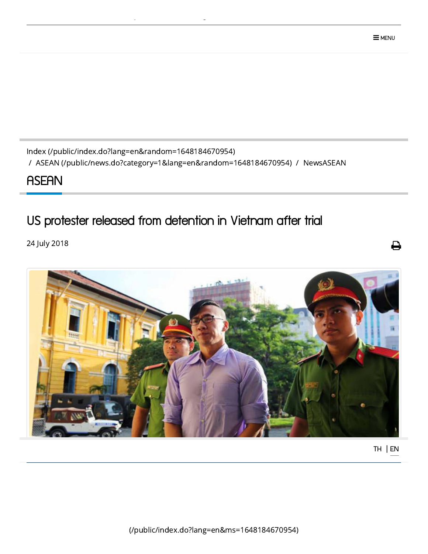(/public/index.do?lang=en&ms=1648184670954)



24 July 2018

## US protester released from detention in Vietnam after trial

## **ASEAN**

Index [\(/public/index.do?lang=en&random=1648184670954\)](http://asean.dla.go.th/public/index.do?lang=en&random=1648184670954) / ASEAN [\(/public/news.do?category=1&lang=en&random=1648184670954\)](http://asean.dla.go.th/public/news.do?category=1&lang=en&random=1648184670954) / NewsASEAN

[p](http://asean.dla.go.th/public/index.do?lang=en&ms=1648184670954) graduate and produced the second second second second second second second second second second second second<br>Production of the second second second second second second second second second second second second second s

⇔

[TH](javascript:doChangeLanguage() | [EN](javascript:doChangeLanguage()